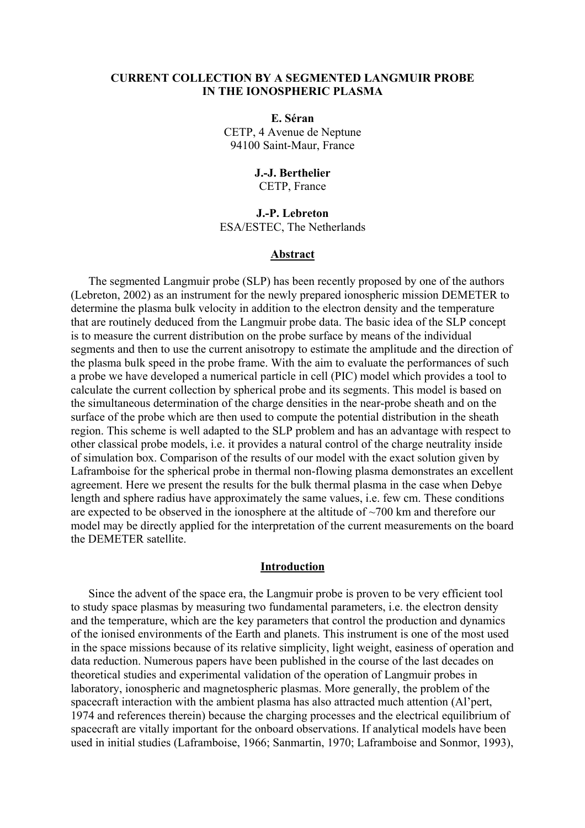## **CURRENT COLLECTION BY A SEGMENTED LANGMUIR PROBE IN THE IONOSPHERIC PLASMA**

**E. Séran**  CETP, 4 Avenue de Neptune 94100 Saint-Maur, France

# **J.-J. Berthelier**

CETP, France

## **J.-P. Lebreton**  ESA/ESTEC, The Netherlands

## **Abstract**

The segmented Langmuir probe (SLP) has been recently proposed by one of the authors (Lebreton, 2002) as an instrument for the newly prepared ionospheric mission DEMETER to determine the plasma bulk velocity in addition to the electron density and the temperature that are routinely deduced from the Langmuir probe data. The basic idea of the SLP concept is to measure the current distribution on the probe surface by means of the individual segments and then to use the current anisotropy to estimate the amplitude and the direction of the plasma bulk speed in the probe frame. With the aim to evaluate the performances of such a probe we have developed a numerical particle in cell (PIC) model which provides a tool to calculate the current collection by spherical probe and its segments. This model is based on the simultaneous determination of the charge densities in the near-probe sheath and on the surface of the probe which are then used to compute the potential distribution in the sheath region. This scheme is well adapted to the SLP problem and has an advantage with respect to other classical probe models, i.e. it provides a natural control of the charge neutrality inside of simulation box. Comparison of the results of our model with the exact solution given by Laframboise for the spherical probe in thermal non-flowing plasma demonstrates an excellent agreement. Here we present the results for the bulk thermal plasma in the case when Debye length and sphere radius have approximately the same values, i.e. few cm. These conditions are expected to be observed in the ionosphere at the altitude of ~700 km and therefore our model may be directly applied for the interpretation of the current measurements on the board the DEMETER satellite.

## **Introduction**

Since the advent of the space era, the Langmuir probe is proven to be very efficient tool to study space plasmas by measuring two fundamental parameters, i.e. the electron density and the temperature, which are the key parameters that control the production and dynamics of the ionised environments of the Earth and planets. This instrument is one of the most used in the space missions because of its relative simplicity, light weight, easiness of operation and data reduction. Numerous papers have been published in the course of the last decades on theoretical studies and experimental validation of the operation of Langmuir probes in laboratory, ionospheric and magnetospheric plasmas. More generally, the problem of the spacecraft interaction with the ambient plasma has also attracted much attention (Al'pert, 1974 and references therein) because the charging processes and the electrical equilibrium of spacecraft are vitally important for the onboard observations. If analytical models have been used in initial studies (Laframboise, 1966; Sanmartin, 1970; Laframboise and Sonmor, 1993),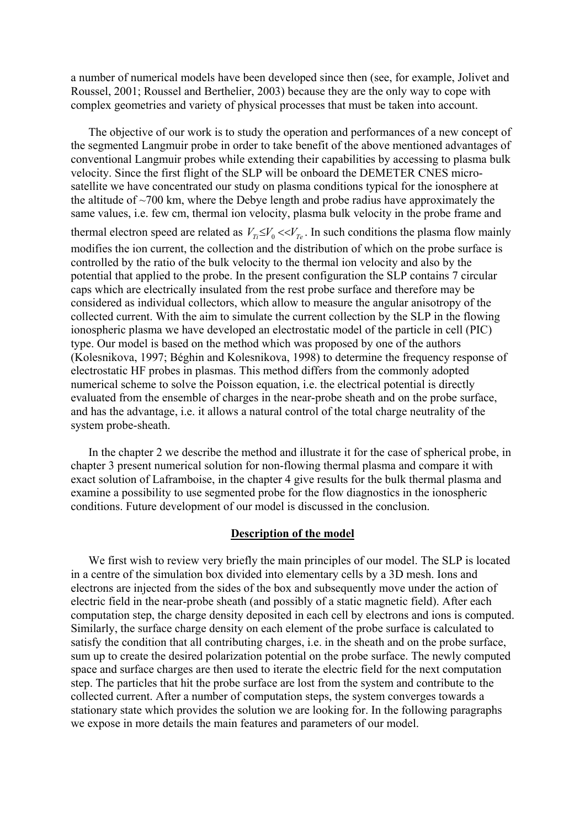a number of numerical models have been developed since then (see, for example, Jolivet and Roussel, 2001; Roussel and Berthelier, 2003) because they are the only way to cope with complex geometries and variety of physical processes that must be taken into account.

The objective of our work is to study the operation and performances of a new concept of the segmented Langmuir probe in order to take benefit of the above mentioned advantages of conventional Langmuir probes while extending their capabilities by accessing to plasma bulk velocity. Since the first flight of the SLP will be onboard the DEMETER CNES microsatellite we have concentrated our study on plasma conditions typical for the ionosphere at the altitude of  $\sim$ 700 km, where the Debye length and probe radius have approximately the same values, i.e. few cm, thermal ion velocity, plasma bulk velocity in the probe frame and thermal electron speed are related as  $V_{T_i} \leq V_0 \ll V_{T_e}$ . In such conditions the plasma flow mainly modifies the ion current, the collection and the distribution of which on the probe surface is controlled by the ratio of the bulk velocity to the thermal ion velocity and also by the potential that applied to the probe. In the present configuration the SLP contains 7 circular caps which are electrically insulated from the rest probe surface and therefore may be considered as individual collectors, which allow to measure the angular anisotropy of the collected current. With the aim to simulate the current collection by the SLP in the flowing ionospheric plasma we have developed an electrostatic model of the particle in cell (PIC) type. Our model is based on the method which was proposed by one of the authors (Kolesnikova, 1997; Béghin and Kolesnikova, 1998) to determine the frequency response of electrostatic HF probes in plasmas. This method differs from the commonly adopted numerical scheme to solve the Poisson equation, i.e. the electrical potential is directly evaluated from the ensemble of charges in the near-probe sheath and on the probe surface, and has the advantage, i.e. it allows a natural control of the total charge neutrality of the system probe-sheath.

In the chapter 2 we describe the method and illustrate it for the case of spherical probe, in chapter 3 present numerical solution for non-flowing thermal plasma and compare it with exact solution of Laframboise, in the chapter 4 give results for the bulk thermal plasma and examine a possibility to use segmented probe for the flow diagnostics in the ionospheric conditions. Future development of our model is discussed in the conclusion.

## **Description of the model**

We first wish to review very briefly the main principles of our model. The SLP is located in a centre of the simulation box divided into elementary cells by a 3D mesh. Ions and electrons are injected from the sides of the box and subsequently move under the action of electric field in the near-probe sheath (and possibly of a static magnetic field). After each computation step, the charge density deposited in each cell by electrons and ions is computed. Similarly, the surface charge density on each element of the probe surface is calculated to satisfy the condition that all contributing charges, i.e. in the sheath and on the probe surface, sum up to create the desired polarization potential on the probe surface. The newly computed space and surface charges are then used to iterate the electric field for the next computation step. The particles that hit the probe surface are lost from the system and contribute to the collected current. After a number of computation steps, the system converges towards a stationary state which provides the solution we are looking for. In the following paragraphs we expose in more details the main features and parameters of our model.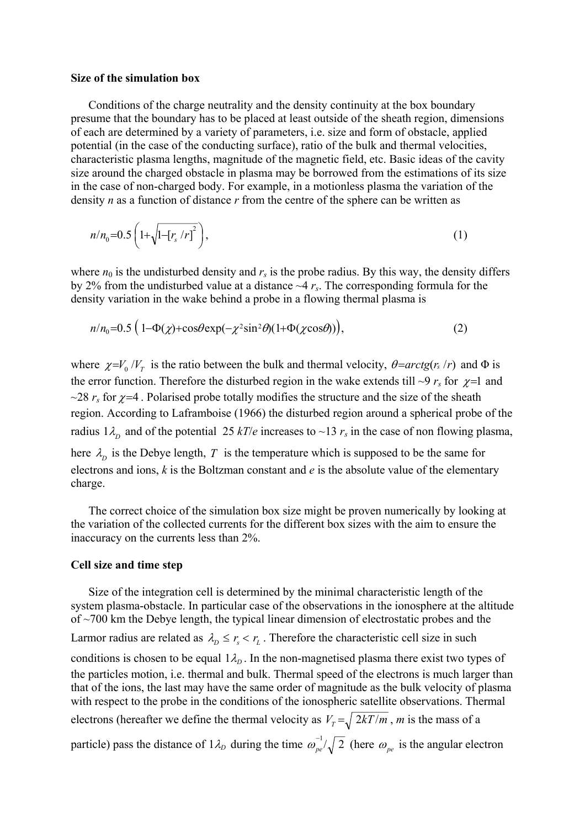### **Size of the simulation box**

Conditions of the charge neutrality and the density continuity at the box boundary presume that the boundary has to be placed at least outside of the sheath region, dimensions of each are determined by a variety of parameters, i.e. size and form of obstacle, applied potential (in the case of the conducting surface), ratio of the bulk and thermal velocities, characteristic plasma lengths, magnitude of the magnetic field, etc. Basic ideas of the cavity size around the charged obstacle in plasma may be borrowed from the estimations of its size in the case of non-charged body. For example, in a motionless plasma the variation of the density *n* as a function of distance *r* from the centre of the sphere can be written as

$$
n/n_0 = 0.5 \left( 1 + \sqrt{1 - \left[ r_s / r \right]^2} \right),\tag{1}
$$

where  $n_0$  is the undisturbed density and  $r_s$  is the probe radius. By this way, the density differs by 2% from the undisturbed value at a distance ~4 *rs*. The corresponding formula for the density variation in the wake behind a probe in a flowing thermal plasma is

$$
n/n_0 = 0.5 \left( 1 - \Phi(\chi) + \cos\theta \exp(-\chi^2 \sin^2\theta)(1 + \Phi(\chi \cos\theta)) \right),\tag{2}
$$

where  $\chi = V_0 / V_T$  is the ratio between the bulk and thermal velocity,  $\theta = \arctg(r_s / r)$  and  $\Phi$  is the error function. Therefore the disturbed region in the wake extends till  $\sim$ 9  $r_s$  for  $\chi$ =1 and  $\sim$ 28  $r_s$  for  $\chi$ =4. Polarised probe totally modifies the structure and the size of the sheath region. According to Laframboise (1966) the disturbed region around a spherical probe of the radius  $1\lambda_p$  and of the potential 25  $kT/e$  increases to ~13  $r_s$  in the case of non flowing plasma, here  $\lambda_D$  is the Debye length, *T* is the temperature which is supposed to be the same for electrons and ions, *k* is the Boltzman constant and *e* is the absolute value of the elementary charge.

The correct choice of the simulation box size might be proven numerically by looking at the variation of the collected currents for the different box sizes with the aim to ensure the inaccuracy on the currents less than 2%.

### **Cell size and time step**

Size of the integration cell is determined by the minimal characteristic length of the system plasma-obstacle. In particular case of the observations in the ionosphere at the altitude of ~700 km the Debye length, the typical linear dimension of electrostatic probes and the Larmor radius are related as  $\lambda_p \le r_s < r_L$ . Therefore the characteristic cell size in such conditions is chosen to be equal  $1\lambda_D$ . In the non-magnetised plasma there exist two types of the particles motion, i.e. thermal and bulk. Thermal speed of the electrons is much larger than that of the ions, the last may have the same order of magnitude as the bulk velocity of plasma with respect to the probe in the conditions of the ionospheric satellite observations. Thermal electrons (hereafter we define the thermal velocity as  $V_T = \sqrt{2kT/m}$ , *m* is the mass of a particle) pass the distance of  $1\lambda_D$  during the time  $\omega_{pe}^{-1}/\sqrt{2}$  (here  $\omega_{pe}$ )  $\omega_{pe}^{-1}/\sqrt{2}$  (here  $\omega_{pe}$  is the angular electron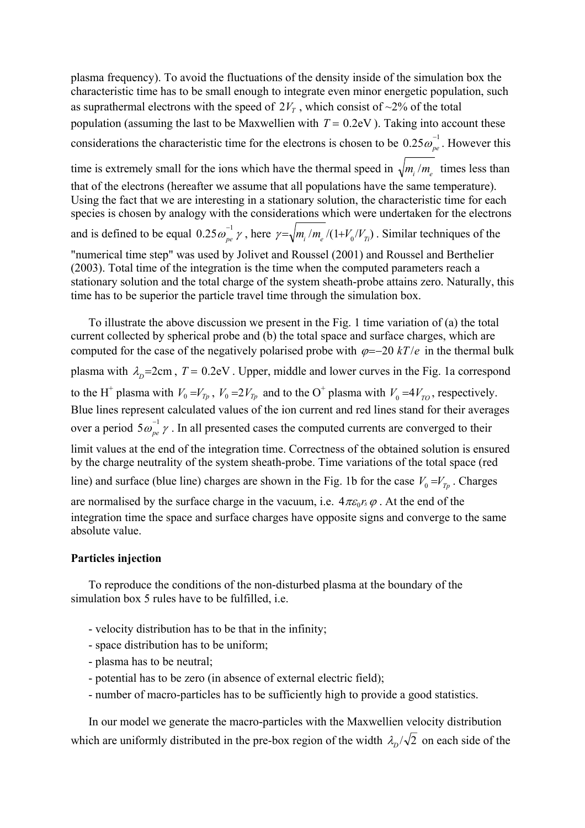plasma frequency). To avoid the fluctuations of the density inside of the simulation box the characteristic time has to be small enough to integrate even minor energetic population, such as suprathermal electrons with the speed of  $2V_T$ , which consist of  $\sim$ 2% of the total population (assuming the last to be Maxwellien with  $T = 0.2$ eV). Taking into account these considerations the characteristic time for the electrons is chosen to be  $0.25 \omega_{pe}^{-1}$ . However this time is extremely small for the ions which have the thermal speed in  $\sqrt{m_i/m_e}$  times less than that of the electrons (hereafter we assume that all populations have the same temperature). Using the fact that we are interesting in a stationary solution, the characteristic time for each species is chosen by analogy with the considerations which were undertaken for the electrons and is defined to be equal  $0.25 \omega_{pe}^{-1} \gamma$ , here  $\gamma = \sqrt{m_i / m_e / (1 + V_0 / V_{Ti})}$ . Similar techniques of the "numerical time step" was used by Jolivet and Roussel (2001) and Roussel and Berthelier (2003). Total time of the integration is the time when the computed parameters reach a stationary solution and the total charge of the system sheath-probe attains zero. Naturally, this time has to be superior the particle travel time through the simulation box.

computed for the case of the negatively polarised probe with  $\varphi = -20$  *kT* /*e* in the thermal bulk plasma with  $\lambda_p = 2$ cm,  $T = 0.2$ eV. Upper, middle and lower curves in the Fig. 1a correspond to the H<sup>+</sup> plasma with  $V_0 = V_{T_p}$ ,  $V_0 = 2V_{T_p}$  and to the O<sup>+</sup> plasma with  $V_0 = 4V_{T_o}$ , respectively. are normalised by the surface charge in the vacuum, i.e.  $4\pi\varepsilon_0 r_s \varphi$ . At the end of the To illustrate the above discussion we present in the Fig. 1 time variation of (a) the total current collected by spherical probe and (b) the total space and surface charges, which are over a period  $5\omega_{pe}^{-1}\gamma$ . In all presented cases the computed currents are converged to their Blue lines represent calculated values of the ion current and red lines stand for their averages limit values at the end of the integration time. Correctness of the obtained solution is ensured by the charge neutrality of the system sheath-probe. Time variations of the total space (red line) and surface (blue line) charges are shown in the Fig. 1b for the case  $V_0 = V_{T_p}$ . Charges integration time the space and surface charges have opposite signs and converge to the same

# **Particles injection**

absolute value.

To reproduce the conditions of the non-disturbed plasma at the boundary of the simulation box 5 rules have to be fulfilled, i.e.

- velocity distribution has to be that in the infinity;
- space distribution has to be uniform;
- plasma has to be neutral;
- potential has to be zero (in absence of external electric field);
- number of macro-particles has to be sufficiently high to provide a good statistics.

In our model we generate the macro-particles with the Maxwellien velocity distribution which are uniformly distributed in the pre-box region of the width  $\lambda_p/\sqrt{2}$  on each side of the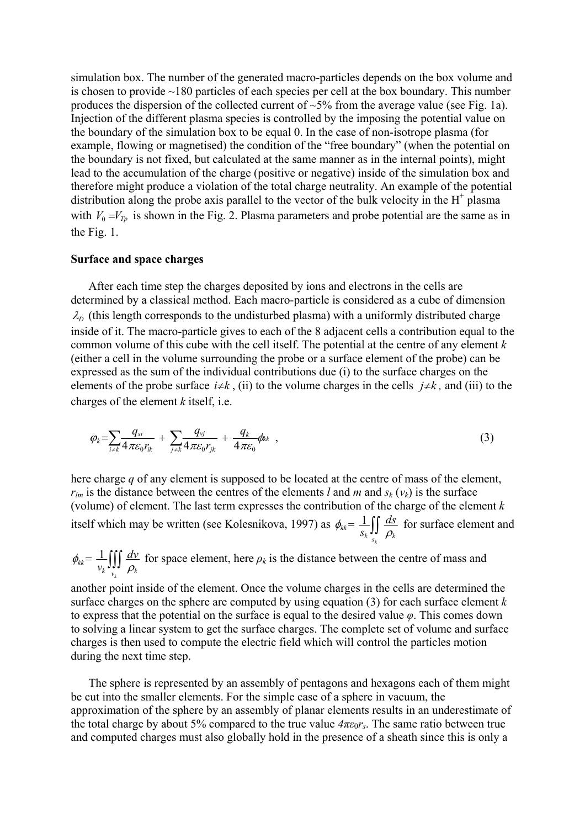simulation box. The number of the generated macro-particles depends on the box volume and is chosen to provide ~180 particles of each species per cell at the box boundary. This number produces the dispersion of the collected current of  $\sim$ 5% from the average value (see Fig. 1a). Injection of the different plasma species is controlled by the imposing the potential value on the boundary of the simulation box to be equal 0. In the case of non-isotrope plasma (for example, flowing or magnetised) the condition of the "free boundary" (when the potential on the boundary is not fixed, but calculated at the same manner as in the internal points), might lead to the accumulation of the charge (positive or negative) inside of the simulation box and therefore might produce a violation of the total charge neutrality. An example of the potential distribution along the probe axis parallel to the vector of the bulk velocity in the  $H^+$  plasma with  $V_0 = V_{T_p}$  is shown in the Fig. 2. Plasma parameters and probe potential are the same as in the Fig. 1.

### **Surface and space charges**

After each time step the charges deposited by ions and electrons in the cells are determined by a classical method. Each macro-particle is considered as a cube of dimension  $\lambda_D$  (this length corresponds to the undisturbed plasma) with a uniformly distributed charge inside of it. The macro-particle gives to each of the 8 adjacent cells a contribution equal to the common volume of this cube with the cell itself. The potential at the centre of any element *k* (either a cell in the volume surrounding the probe or a surface element of the probe) can be expressed as the sum of the individual contributions due (i) to the surface charges on the elements of the probe surface  $i \neq k$ , (ii) to the volume charges in the cells  $j \neq k$ , and (iii) to the charges of the element *k* itself, i.e.

$$
\varphi_k = \sum_{i \neq k} \frac{q_{si}}{4\pi \varepsilon_0 r_{ik}} + \sum_{j \neq k} \frac{q_{vj}}{4\pi \varepsilon_0 r_{jk}} + \frac{q_k}{4\pi \varepsilon_0} \phi_{kk} \quad , \tag{3}
$$

here charge *q* of any element is supposed to be located at the centre of mass of the element,  $r_{lm}$  is the distance between the centres of the elements *l* and *m* and  $s_k$  ( $v_k$ ) is the surface (volume) of element. The last term expresses the contribution of the charge of the element *k*  itself which may be written (see Kolesnikova, 1997) as  $\phi_{kk} = \frac{1}{S_k} \iint$  $\sum_{s_k}$   $\sum_{k}$  $a_{kk} = \frac{1}{\epsilon} \iint \frac{ds}{s}$  $s_k$ <sup>*JJ*</sup> $\rho$ <sub>*i*</sub>  $\phi_{kk} = \frac{1}{\pi} \int \int \frac{ds}{s}$  for surface element and

$$
\phi_{kk} = \frac{1}{v_k} \iiint_{v_k} \frac{dv}{\rho_k}
$$
 for space element, here  $\rho_k$  is the distance between the centre of mass and

another point inside of the element. Once the volume charges in the cells are determined the surface charges on the sphere are computed by using equation (3) for each surface element *k* to express that the potential on the surface is equal to the desired value *φ*. This comes down to solving a linear system to get the surface charges. The complete set of volume and surface charges is then used to compute the electric field which will control the particles motion during the next time step.

The sphere is represented by an assembly of pentagons and hexagons each of them might be cut into the smaller elements. For the simple case of a sphere in vacuum, the approximation of the sphere by an assembly of planar elements results in an underestimate of the total charge by about 5% compared to the true value  $4\pi\varepsilon_0 r_s$ . The same ratio between true and computed charges must also globally hold in the presence of a sheath since this is only a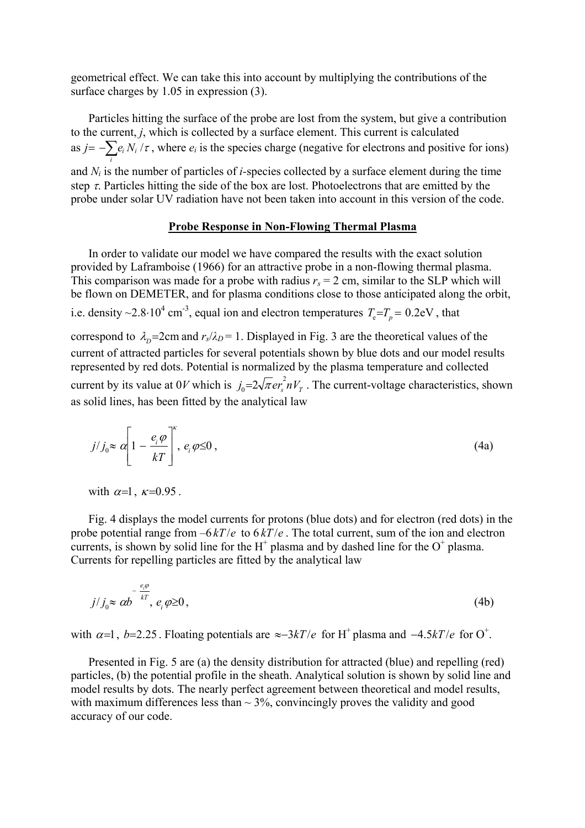geometrical effect. We can take this into account by multiplying the contributions of the surface charges by 1.05 in expression  $(3)$ .

Particles hitting the surface of the probe are lost from the system, but give a contribution to the current, *j*, which is collected by a surface element. This current is calculated as  $j = -\sum e_i N_i / \tau$ , where  $e_i$  is the species charge (negative for electrons and positive for ions) *i* and *Ni* is the number of particles of *i-*species collected by a surface element during the time step  $\tau$ . Particles hitting the side of the box are lost. Photoelectrons that are emitted by the probe under solar UV radiation have not been taken into account in this version of the code.

## **Probe Response in Non-Flowing Thermal Plasma**

In order to validate our model we have compared the results with the exact solution provided by Laframboise (1966) for an attractive probe in a non-flowing thermal plasma. This comparison was made for a probe with radius  $r_s = 2$  cm, similar to the SLP which will be flown on DEMETER, and for plasma conditions close to those anticipated along the orbit, i.e. density ~2.8⋅10<sup>4</sup> cm<sup>-3</sup>, equal ion and electron temperatures  $T_e = T_p = 0.2$ eV, that correspond to  $\lambda_D$ =2cm and  $r_s/\lambda_D$ = 1. Displayed in Fig. 3 are the theoretical values of the current of attracted particles for several potentials shown by blue dots and our model results represented by red dots. Potential is normalized by the plasma temperature and collected current by its value at  $0V$  which is  $j_0=2\sqrt{\pi} e r_s^2 nV_T$ . The current-voltage characteristics, shown as solid lines, has been fitted by the analytical law

$$
j/j_0 \approx \alpha \left[1 - \frac{e_i \varphi}{kT}\right]^{\kappa}, \, e_i \varphi \le 0 \,, \tag{4a}
$$

with  $\alpha=1$ ,  $\kappa=0.95$ .

Fig. 4 displays the model currents for protons (blue dots) and for electron (red dots) in the probe potential range from  $-6kT/e$  to  $6kT/e$ . The total current, sum of the ion and electron currents is shown by solid line for the  $H^+$  plasma and by deshed line for the  $O^+$  plasma currents, is shown by solid line for the  $H^+$  plasma and by dashed line for the  $O^+$  plasma. Currents for repelling particles are fitted by the analytical law

$$
j/j_0 \approx \alpha b^{-\frac{e_i \varphi}{kT}}, e_i \varphi \ge 0,
$$
\n(4b)

with  $\alpha=1$ ,  $b=2.25$ . Floating potentials are  $\approx -3kT/e$  for H<sup>+</sup> plasma and  $-4.5kT/e$  for O<sup>+</sup>.

Presented in Fig. 5 are (a) the density distribution for attracted (blue) and repelling (red) particles, (b) the potential profile in the sheath. Analytical solution is shown by solid line and model results by dots. The nearly perfect agreement between theoretical and model results, with maximum differences less than  $\sim$  3%, convincingly proves the validity and good accuracy of our code.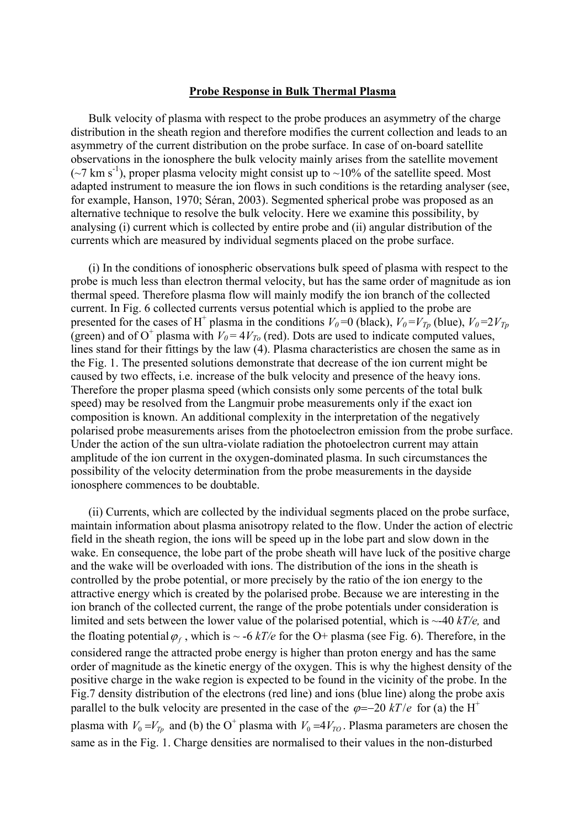### **Probe Response in Bulk Thermal Plasma**

Bulk velocity of plasma with respect to the probe produces an asymmetry of the charge distribution in the sheath region and therefore modifies the current collection and leads to an asymmetry of the current distribution on the probe surface. In case of on-board satellite observations in the ionosphere the bulk velocity mainly arises from the satellite movement  $({}^{\sim}7 \text{ km s}^{-1})$ , proper plasma velocity might consist up to  ${\sim}10\%$  of the satellite speed. Most adapted instrument to measure the ion flows in such conditions is the retarding analyser (see, for example, Hanson, 1970; Séran, 2003). Segmented spherical probe was proposed as an alternative technique to resolve the bulk velocity. Here we examine this possibility, by analysing (i) current which is collected by entire probe and (ii) angular distribution of the currents which are measured by individual segments placed on the probe surface.

(i) In the conditions of ionospheric observations bulk speed of plasma with respect to the probe is much less than electron thermal velocity, but has the same order of magnitude as ion thermal speed. Therefore plasma flow will mainly modify the ion branch of the collected current. In Fig. 6 collected currents versus potential which is applied to the probe are presented for the cases of H<sup>+</sup> plasma in the conditions  $V_0=0$  (black),  $V_0=V_{T_p}$  (blue),  $V_0=2V_{T_p}$ (green) and of O<sup>+</sup> plasma with  $V_0 = 4V_{T_0}$  (red). Dots are used to indicate computed values, lines stand for their fittings by the law (4). Plasma characteristics are chosen the same as in the Fig. 1. The presented solutions demonstrate that decrease of the ion current might be caused by two effects, i.e. increase of the bulk velocity and presence of the heavy ions. Therefore the proper plasma speed (which consists only some percents of the total bulk speed) may be resolved from the Langmuir probe measurements only if the exact ion composition is known. An additional complexity in the interpretation of the negatively polarised probe measurements arises from the photoelectron emission from the probe surface. Under the action of the sun ultra-violate radiation the photoelectron current may attain amplitude of the ion current in the oxygen-dominated plasma. In such circumstances the possibility of the velocity determination from the probe measurements in the dayside ionosphere commences to be doubtable.

(ii) Currents, which are collected by the individual segments placed on the probe surface, maintain information about plasma anisotropy related to the flow. Under the action of electric field in the sheath region, the ions will be speed up in the lobe part and slow down in the wake. En consequence, the lobe part of the probe sheath will have luck of the positive charge and the wake will be overloaded with ions. The distribution of the ions in the sheath is controlled by the probe potential, or more precisely by the ratio of the ion energy to the attractive energy which is created by the polarised probe. Because we are interesting in the ion branch of the collected current, the range of the probe potentials under consideration is limited and sets between the lower value of the polarised potential, which is ~-40 *kT/e,* and the floating potential  $\varphi_f$ , which is  $\sim$  -6 *kT/e* for the O+ plasma (see Fig. 6). Therefore, in the considered range the attracted probe energy is higher than proton energy and has the same order of magnitude as the kinetic energy of the oxygen. This is why the highest density of the positive charge in the wake region is expected to be found in the vicinity of the probe. In the Fig.7 density distribution of the electrons (red line) and ions (blue line) along the probe axis parallel to the bulk velocity are presented in the case of the  $\varphi = -20$  kT/e for (a) the H<sup>+</sup> plasma with  $V_0 = V_{T_p}$  and (b) the O<sup>+</sup> plasma with  $V_0 = 4V_{T_Q}$ . Plasma parameters are chosen the same as in the Fig. 1. Charge densities are normalised to their values in the non-disturbed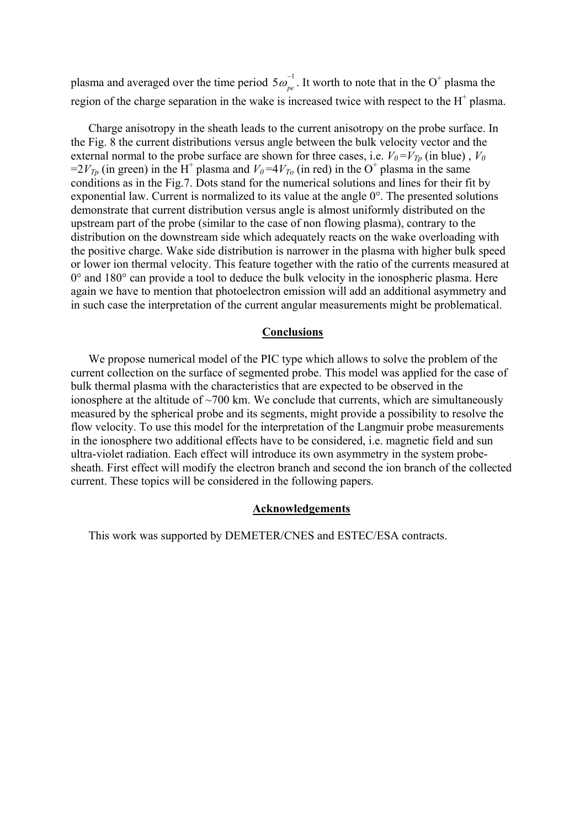plasma and averaged over the time period  $5\omega_{pe}^{-1}$ . It worth to note that in the O + plasma the region of the charge separation in the wake is increased twice with respect to the  $H^+$  plasma.

Charge anisotropy in the sheath leads to the current anisotropy on the probe surface. In the Fig. 8 the current distributions versus angle between the bulk velocity vector and the external normal to the probe surface are shown for three cases, i.e.  $V_0 = V_{T_p}$  (in blue),  $V_0$ =2 $V_{T_p}$  (in green) in the H<sup>+</sup> plasma and  $V_0$ =4 $V_{T_o}$  (in red) in the O<sup>+</sup> plasma in the same conditions as in the Fig.7. Dots stand for the numerical solutions and lines for their fit by exponential law. Current is normalized to its value at the angle 0°. The presented solutions demonstrate that current distribution versus angle is almost uniformly distributed on the upstream part of the probe (similar to the case of non flowing plasma), contrary to the distribution on the downstream side which adequately reacts on the wake overloading with the positive charge. Wake side distribution is narrower in the plasma with higher bulk speed or lower ion thermal velocity. This feature together with the ratio of the currents measured at  $0^{\circ}$  and  $180^{\circ}$  can provide a tool to deduce the bulk velocity in the ionospheric plasma. Here again we have to mention that photoelectron emission will add an additional asymmetry and in such case the interpretation of the current angular measurements might be problematical.

### **Conclusions**

We propose numerical model of the PIC type which allows to solve the problem of the current collection on the surface of segmented probe. This model was applied for the case of bulk thermal plasma with the characteristics that are expected to be observed in the ionosphere at the altitude of  $\sim$ 700 km. We conclude that currents, which are simultaneously measured by the spherical probe and its segments, might provide a possibility to resolve the flow velocity. To use this model for the interpretation of the Langmuir probe measurements in the ionosphere two additional effects have to be considered, i.e. magnetic field and sun ultra-violet radiation. Each effect will introduce its own asymmetry in the system probesheath. First effect will modify the electron branch and second the ion branch of the collected current. These topics will be considered in the following papers.

### **Acknowledgements**

This work was supported by DEMETER/CNES and ESTEC/ESA contracts.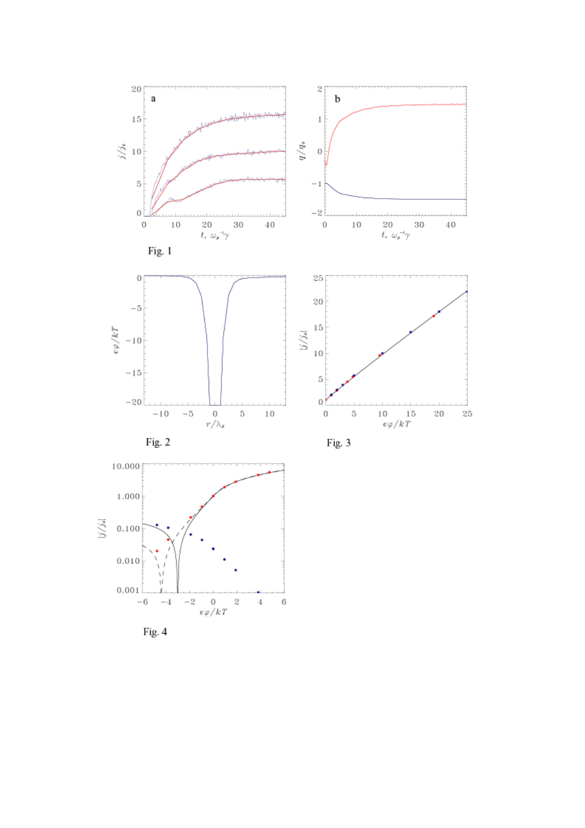



Fig. 4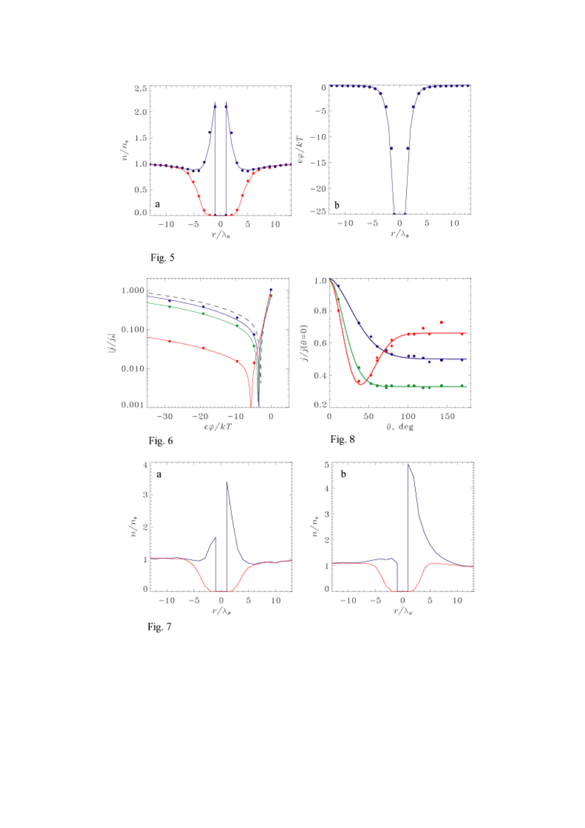

Fig. 7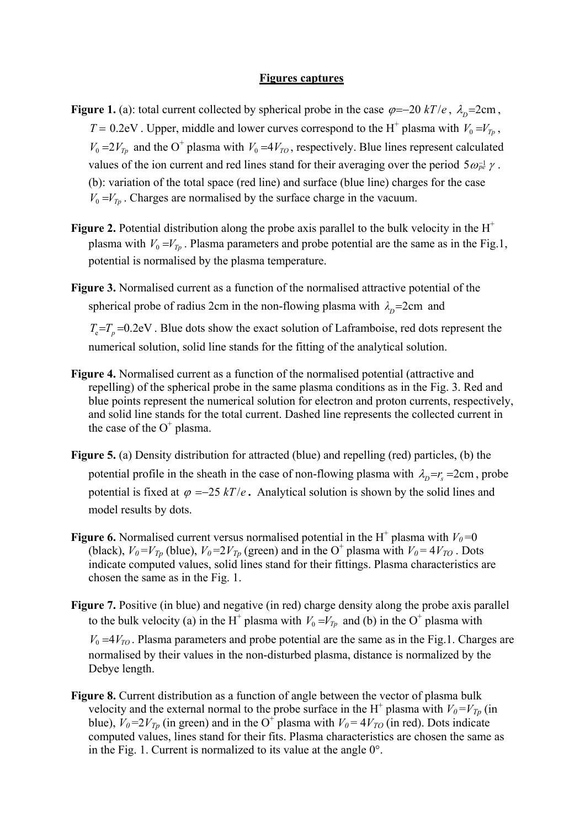### **Figures captures**

- **Figure 1.** (a): total current collected by spherical probe in the case  $\varphi = -20 \ kT/e$ ,  $\lambda_{D} = 2 \text{cm}$ ,  $T = 0.2$ eV. Upper, middle and lower curves correspond to the H<sup>+</sup> plasma with  $V_0 = V_{T_p}$ ,  $V_0 = 2V_{T_p}$  and the O<sup>+</sup> plasma with  $V_0 = 4V_{T_o}$ , respectively. Blue lines represent calculated values of the ion current and red lines stand for their averaging over the period  $5\omega_{pe}^{1/2}$  / . (b): variation of the total space (red line) and surface (blue line) charges for the case  $V_0 = V_{T_p}$ . Charges are normalised by the surface charge in the vacuum.
- **Figure 2.** Potential distribution along the probe axis parallel to the bulk velocity in the  $H^+$ plasma with  $V_0 = V_{T_p}$ . Plasma parameters and probe potential are the same as in the Fig.1, potential is normalised by the plasma temperature.
- **Figure 3.** Normalised current as a function of the normalised attractive potential of the spherical probe of radius 2cm in the non-flowing plasma with  $\lambda_p$ =2cm and

 $T_e = T_p = 0.2$ eV. Blue dots show the exact solution of Laframboise, red dots represent the numerical solution, solid line stands for the fitting of the analytical solution.

- **Figure 4.** Normalised current as a function of the normalised potential (attractive and repelling) of the spherical probe in the same plasma conditions as in the Fig. 3. Red and blue points represent the numerical solution for electron and proton currents, respectively, and solid line stands for the total current. Dashed line represents the collected current in the case of the  $O<sup>+</sup>$  plasma.
- **Figure 5.** (a) Density distribution for attracted (blue) and repelling (red) particles, (b) the potential profile in the sheath in the case of non-flowing plasma with  $\lambda_p = r_s = 2 \text{cm}$ , probe potential is fixed at  $\varphi =-25 kT/e$ . Analytical solution is shown by the solid lines and model results by dots.
- **Figure 6.** Normalised current versus normalised potential in the H<sup>+</sup> plasma with  $V_0$ =0 (black),  $V_0 = V_{T_p}$  (blue),  $V_0 = 2V_{T_p}$  (green) and in the O<sup>+</sup> plasma with  $V_0 = 4V_{TQ}$ . Dots indicate computed values, solid lines stand for their fittings. Plasma characteristics are chosen the same as in the Fig. 1.
- **Figure 7.** Positive (in blue) and negative (in red) charge density along the probe axis parallel to the bulk velocity (a) in the H<sup>+</sup> plasma with  $V_0 = V_{T_p}$  and (b) in the O<sup>+</sup> plasma with  $V_0 = 4V_{\text{TO}}$ . Plasma parameters and probe potential are the same as in the Fig.1. Charges are normalised by their values in the non-disturbed plasma, distance is normalized by the Debye length.
- **Figure 8.** Current distribution as a function of angle between the vector of plasma bulk velocity and the external normal to the probe surface in the H<sup>+</sup> plasma with  $V_0 = V_{T_p}$  (in blue),  $V_0 = 2V_{Tp}$  (in green) and in the O<sup>+</sup> plasma with  $V_0 = 4V_{T0}$  (in red). Dots indicate computed values, lines stand for their fits. Plasma characteristics are chosen the same as in the Fig. 1. Current is normalized to its value at the angle 0°.